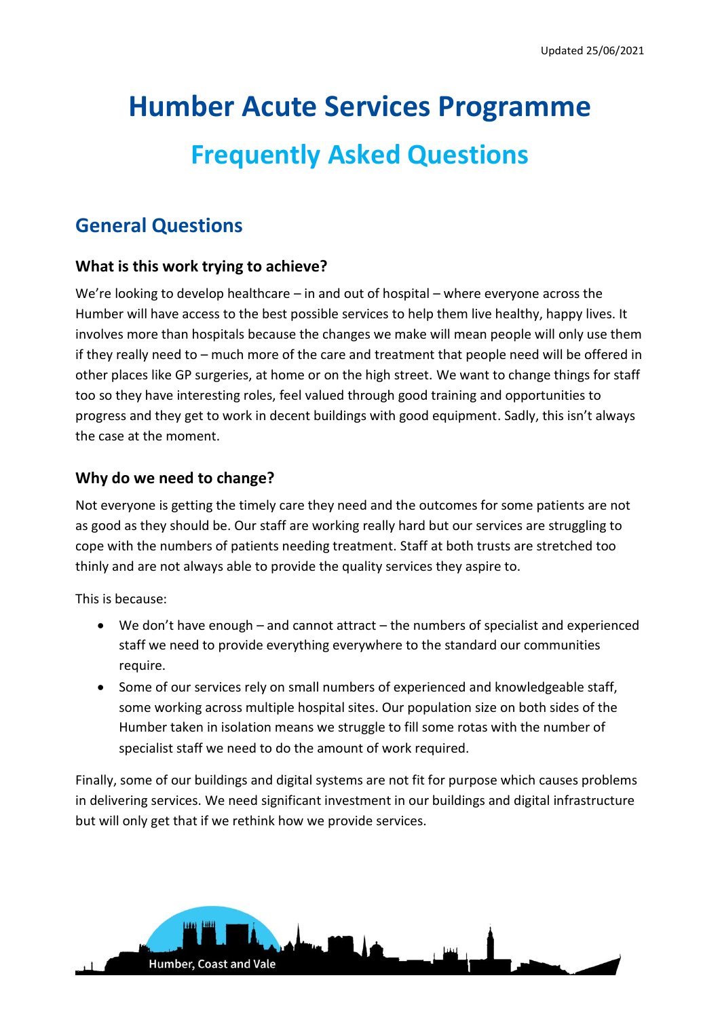# **Humber Acute Services Programme Frequently Asked Questions**

# **General Questions**

### **What is this work trying to achieve?**

We're looking to develop healthcare – in and out of hospital – where everyone across the Humber will have access to the best possible services to help them live healthy, happy lives. It involves more than hospitals because the changes we make will mean people will only use them if they really need to – much more of the care and treatment that people need will be offered in other places like GP surgeries, at home or on the high street. We want to change things for staff too so they have interesting roles, feel valued through good training and opportunities to progress and they get to work in decent buildings with good equipment. Sadly, this isn't always the case at the moment.

### **Why do we need to change?**

Humber, Coast and Vale

Not everyone is getting the timely care they need and the outcomes for some patients are not as good as they should be. Our staff are working really hard but our services are struggling to cope with the numbers of patients needing treatment. Staff at both trusts are stretched too thinly and are not always able to provide the quality services they aspire to.

This is because:

- We don't have enough and cannot attract the numbers of specialist and experienced staff we need to provide everything everywhere to the standard our communities require.
- Some of our services rely on small numbers of experienced and knowledgeable staff, some working across multiple hospital sites. Our population size on both sides of the Humber taken in isolation means we struggle to fill some rotas with the number of specialist staff we need to do the amount of work required.

Finally, some of our buildings and digital systems are not fit for purpose which causes problems in delivering services. We need significant investment in our buildings and digital infrastructure but will only get that if we rethink how we provide services.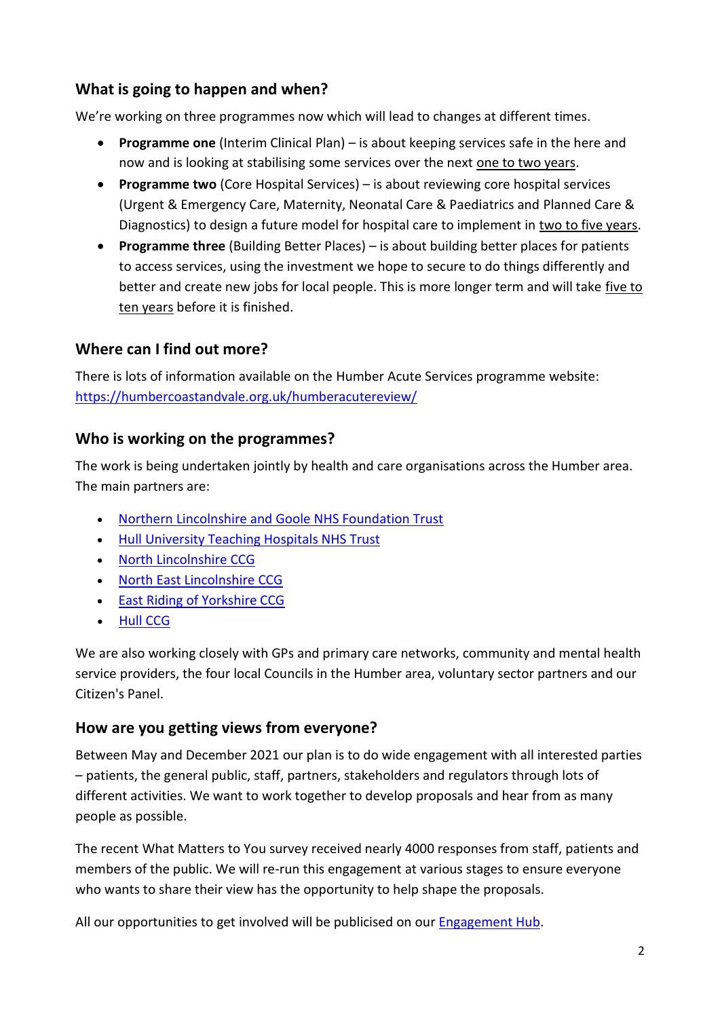# **What is going to happen and when?**

We're working on three programmes now which will lead to changes at different times.

- **Programme one** (Interim Clinical Plan) is about keeping services safe in the here and now and is looking at stabilising some services over the next one to two years.
- **Programme two** (Core Hospital Services) is about reviewing core hospital services (Urgent & Emergency Care, Maternity, Neonatal Care & Paediatrics and Planned Care & Diagnostics) to design a future model for hospital care to implement in two to five years.
- **Programme three** (Building Better Places) is about building better places for patients to access services, using the investment we hope to secure to do things differently and better and create new jobs for local people. This is more longer term and will take five to ten years before it is finished.

# **Where can I find out more?**

There is lots of information available on the Humber Acute Services programme website: <https://humbercoastandvale.org.uk/humberacutereview/>

# **Who is working on the programmes?**

The work is being undertaken jointly by health and care organisations across the Humber area. The main partners are:

- [Northern Lincolnshire and Goole NHS Foundation Trust](http://www.nlg.nhs.uk/)
- [Hull University Teaching Hospitals NHS Trust](https://www.hey.nhs.uk/)
- [North Lincolnshire CCG](http://www.northlincolnshireccg.nhs.uk/)
- [North East Lincolnshire CCG](http://www.northeastlincolnshireccg.nhs.uk/)
- [East Riding of Yorkshire CCG](http://www.eastridingofyorkshireccg.nhs.uk/)
- [Hull CCG](https://www.hullccg.nhs.uk/)

We are also working closely with GPs and primary care networks, community and mental health service providers, the four local Councils in the Humber area, voluntary sector partners and our Citizen's Panel.

### **How are you getting views from everyone?**

Between May and December 2021 our plan is to do wide engagement with all interested parties – patients, the general public, staff, partners, stakeholders and regulators through lots of different activities. We want to work together to develop proposals and hear from as many people as possible.

The recent What Matters to You survey received nearly 4000 responses from staff, patients and members of the public. We will re-run this engagement at various stages to ensure everyone who wants to share their view has the opportunity to help shape the proposals.

All our opportunities to get involved will be publicised on ou[r Engagement Hub.](https://humbercoastandvale.engage-360.co.uk/)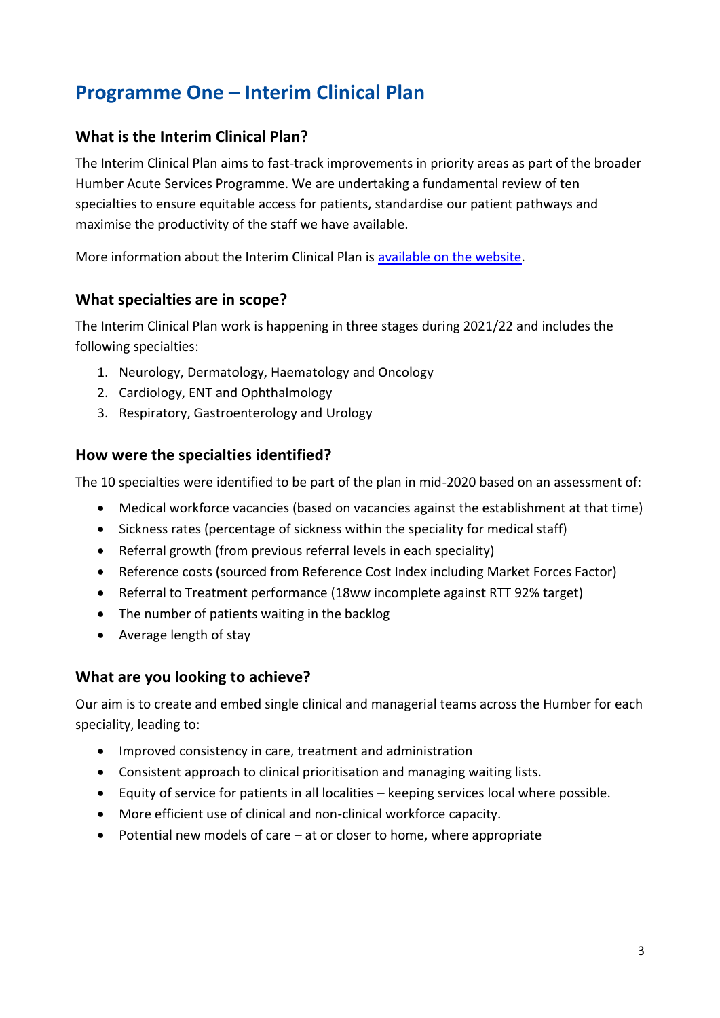# **Programme One – Interim Clinical Plan**

### **What is the Interim Clinical Plan?**

The Interim Clinical Plan aims to fast-track improvements in priority areas as part of the broader Humber Acute Services Programme. We are undertaking a fundamental review of ten specialties to ensure equitable access for patients, standardise our patient pathways and maximise the productivity of the staff we have available.

More information about the Interim Clinical Plan is [available on the website.](https://humbercoastandvale.org.uk/wp-content/uploads/2020/09/Interim-Clinical-Plan_summary_final-version.pdf)

### **What specialties are in scope?**

The Interim Clinical Plan work is happening in three stages during 2021/22 and includes the following specialties:

- 1. Neurology, Dermatology, Haematology and Oncology
- 2. Cardiology, ENT and Ophthalmology
- 3. Respiratory, Gastroenterology and Urology

### **How were the specialties identified?**

The 10 specialties were identified to be part of the plan in mid-2020 based on an assessment of:

- Medical workforce vacancies (based on vacancies against the establishment at that time)
- Sickness rates (percentage of sickness within the speciality for medical staff)
- Referral growth (from previous referral levels in each speciality)
- Reference costs (sourced from Reference Cost Index including Market Forces Factor)
- Referral to Treatment performance (18ww incomplete against RTT 92% target)
- The number of patients waiting in the backlog
- Average length of stay

### **What are you looking to achieve?**

Our aim is to create and embed single clinical and managerial teams across the Humber for each speciality, leading to:

- Improved consistency in care, treatment and administration
- Consistent approach to clinical prioritisation and managing waiting lists.
- Equity of service for patients in all localities keeping services local where possible.
- More efficient use of clinical and non-clinical workforce capacity.
- Potential new models of care at or closer to home, where appropriate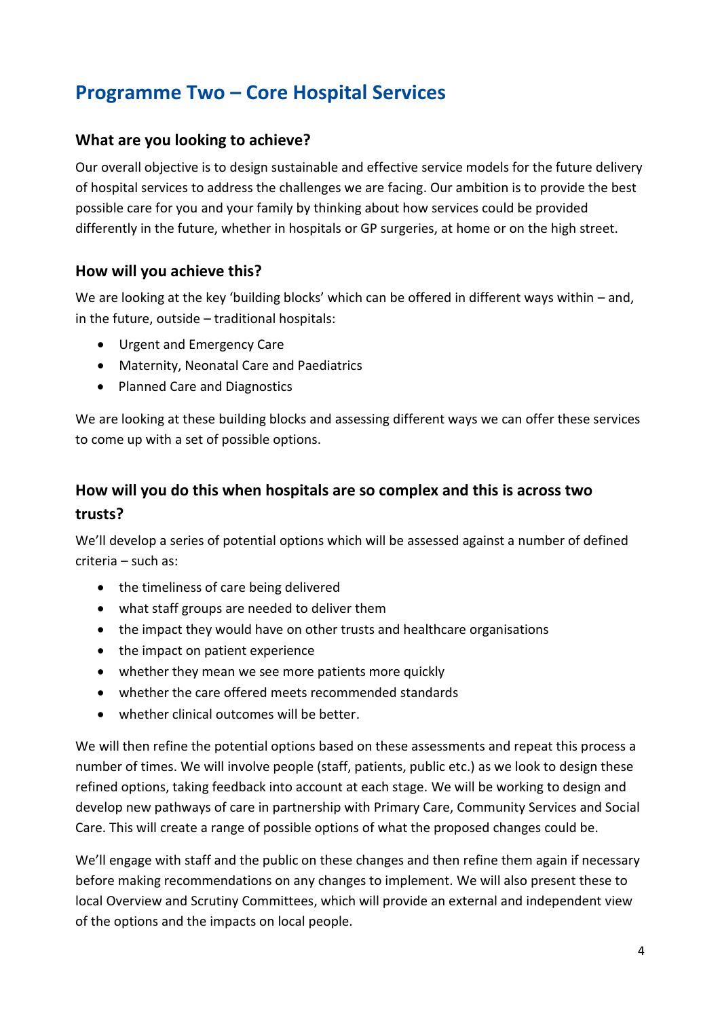# **Programme Two – Core Hospital Services**

### **What are you looking to achieve?**

Our overall objective is to design sustainable and effective service models for the future delivery of hospital services to address the challenges we are facing. Our ambition is to provide the best possible care for you and your family by thinking about how services could be provided differently in the future, whether in hospitals or GP surgeries, at home or on the high street.

### **How will you achieve this?**

We are looking at the key 'building blocks' which can be offered in different ways within – and, in the future, outside – traditional hospitals:

- Urgent and Emergency Care
- Maternity, Neonatal Care and Paediatrics
- Planned Care and Diagnostics

We are looking at these building blocks and assessing different ways we can offer these services to come up with a set of possible options.

# **How will you do this when hospitals are so complex and this is across two trusts?**

We'll develop a series of potential options which will be assessed against a number of defined criteria – such as:

- the timeliness of care being delivered
- what staff groups are needed to deliver them
- the impact they would have on other trusts and healthcare organisations
- the impact on patient experience
- whether they mean we see more patients more quickly
- whether the care offered meets recommended standards
- whether clinical outcomes will be better.

We will then refine the potential options based on these assessments and repeat this process a number of times. We will involve people (staff, patients, public etc.) as we look to design these refined options, taking feedback into account at each stage. We will be working to design and develop new pathways of care in partnership with Primary Care, Community Services and Social Care. This will create a range of possible options of what the proposed changes could be.

We'll engage with staff and the public on these changes and then refine them again if necessary before making recommendations on any changes to implement. We will also present these to local Overview and Scrutiny Committees, which will provide an external and independent view of the options and the impacts on local people.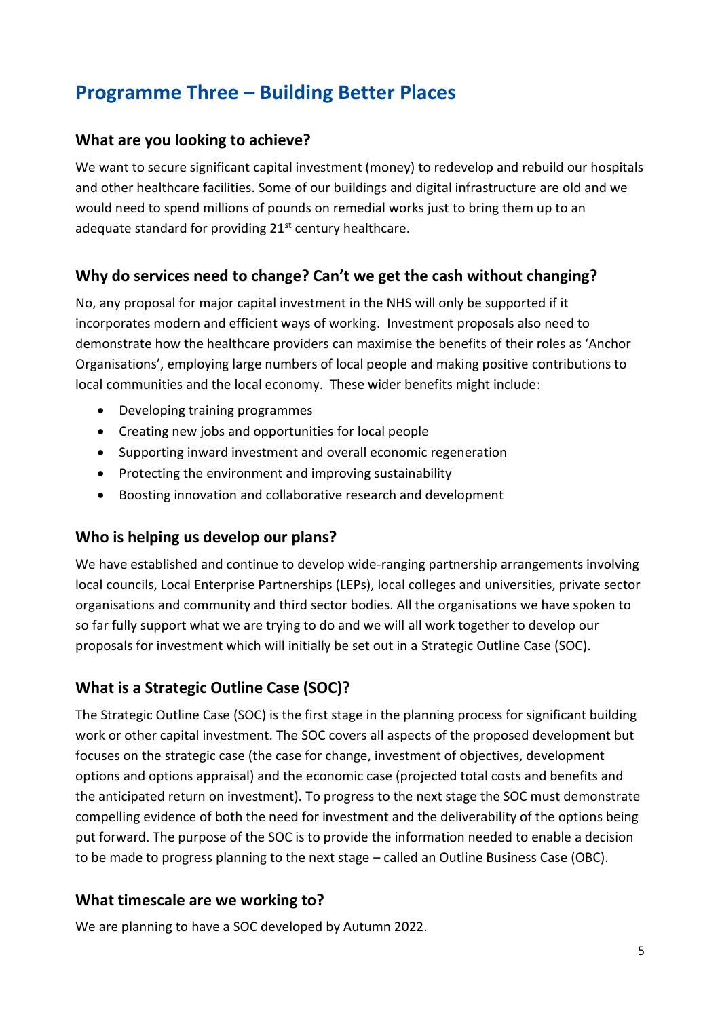# **Programme Three – Building Better Places**

### **What are you looking to achieve?**

We want to secure significant capital investment (money) to redevelop and rebuild our hospitals and other healthcare facilities. Some of our buildings and digital infrastructure are old and we would need to spend millions of pounds on remedial works just to bring them up to an adequate standard for providing  $21<sup>st</sup>$  century healthcare.

### **Why do services need to change? Can't we get the cash without changing?**

No, any proposal for major capital investment in the NHS will only be supported if it incorporates modern and efficient ways of working. Investment proposals also need to demonstrate how the healthcare providers can maximise the benefits of their roles as 'Anchor Organisations', employing large numbers of local people and making positive contributions to local communities and the local economy. These wider benefits might include:

- Developing training programmes
- Creating new jobs and opportunities for local people
- Supporting inward investment and overall economic regeneration
- Protecting the environment and improving sustainability
- Boosting innovation and collaborative research and development

### **Who is helping us develop our plans?**

We have established and continue to develop wide-ranging partnership arrangements involving local councils, Local Enterprise Partnerships (LEPs), local colleges and universities, private sector organisations and community and third sector bodies. All the organisations we have spoken to so far fully support what we are trying to do and we will all work together to develop our proposals for investment which will initially be set out in a Strategic Outline Case (SOC).

### **What is a Strategic Outline Case (SOC)?**

The Strategic Outline Case (SOC) is the first stage in the planning process for significant building work or other capital investment. The SOC covers all aspects of the proposed development but focuses on the strategic case (the case for change, investment of objectives, development options and options appraisal) and the economic case (projected total costs and benefits and the anticipated return on investment). To progress to the next stage the SOC must demonstrate compelling evidence of both the need for investment and the deliverability of the options being put forward. The purpose of the SOC is to provide the information needed to enable a decision to be made to progress planning to the next stage – called an Outline Business Case (OBC).

### **What timescale are we working to?**

We are planning to have a SOC developed by Autumn 2022.